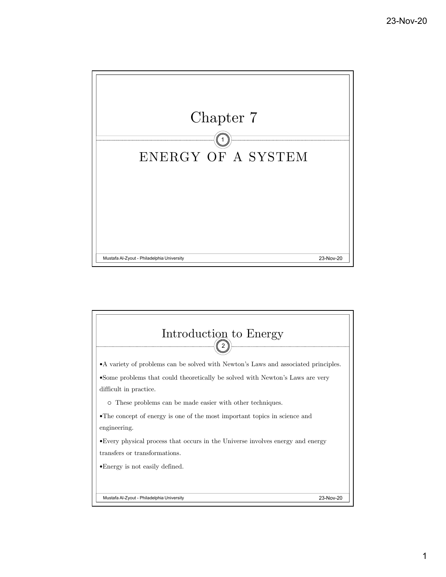

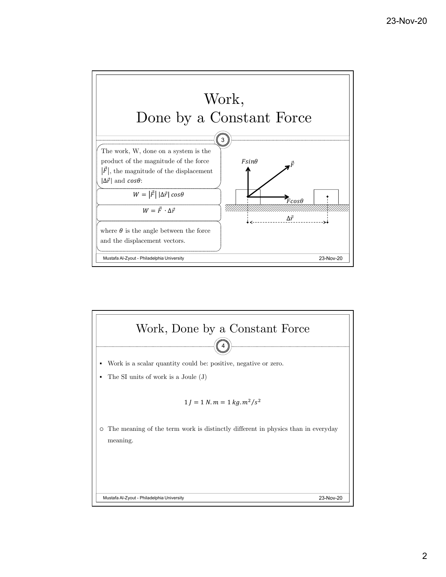

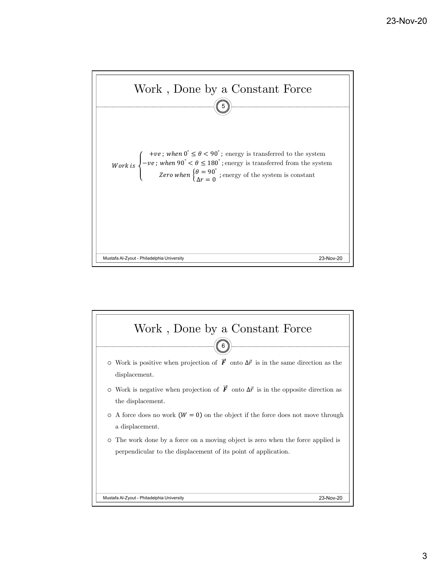

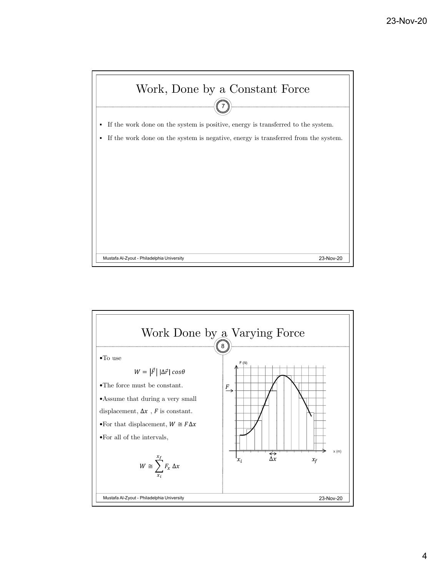

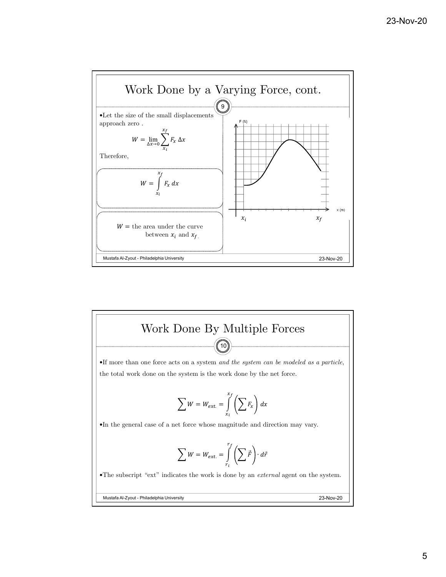

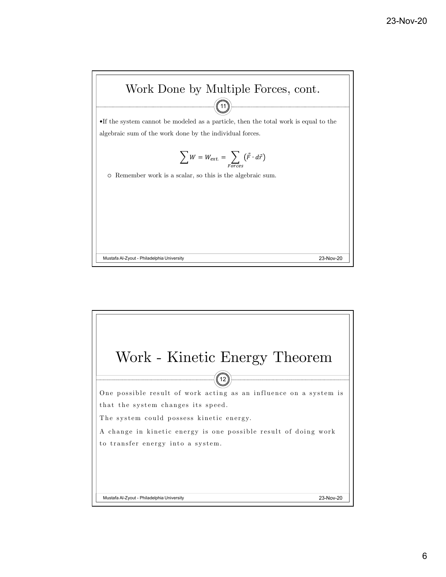

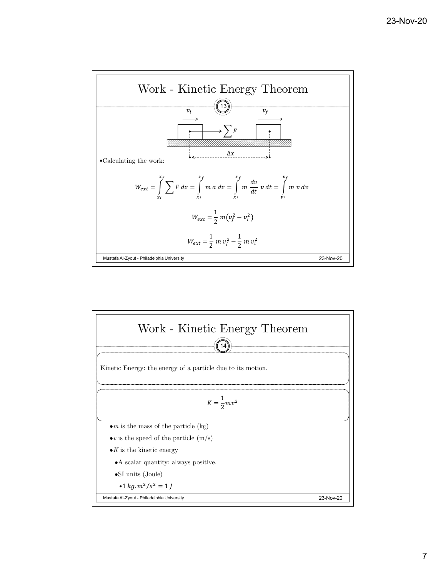

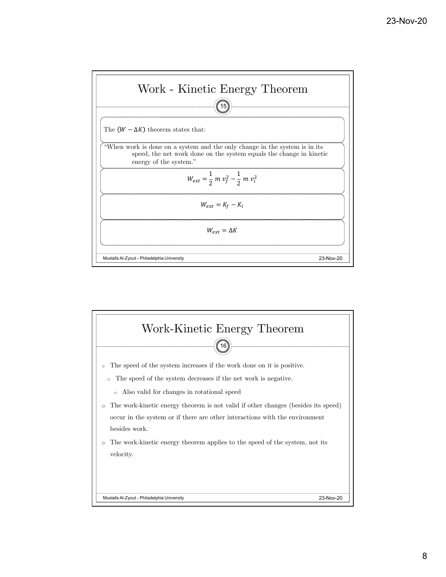

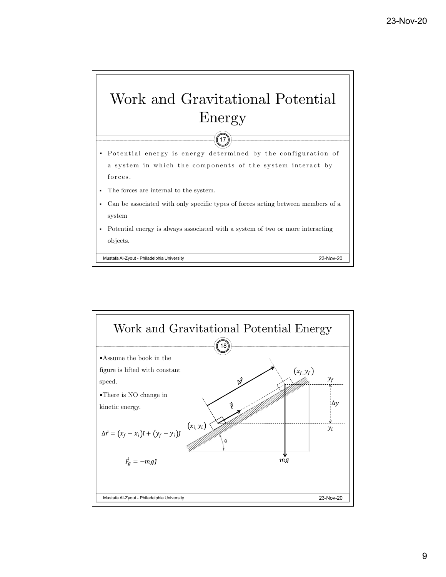

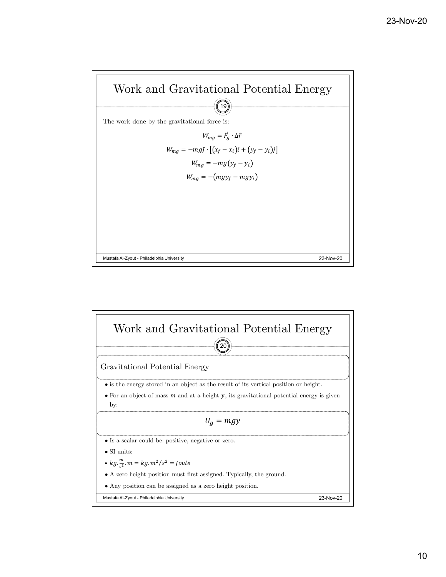

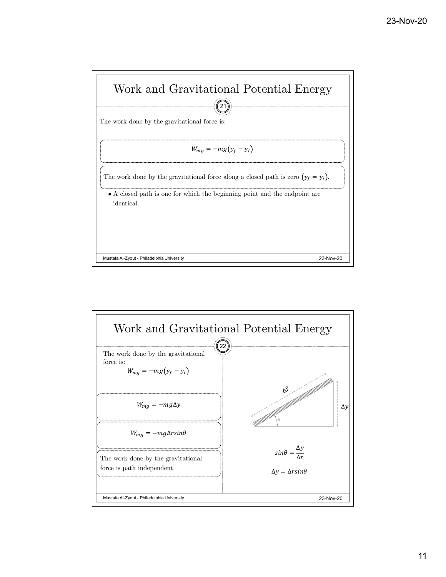

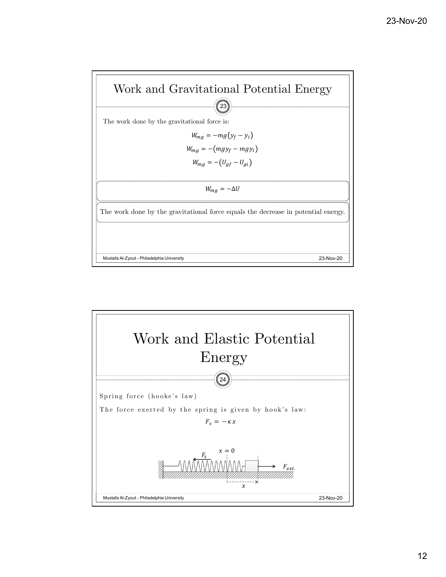

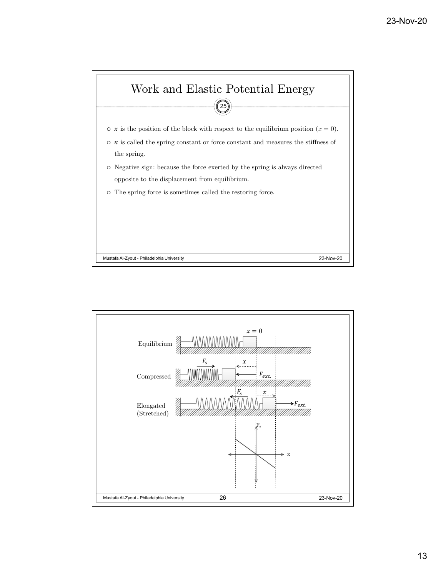

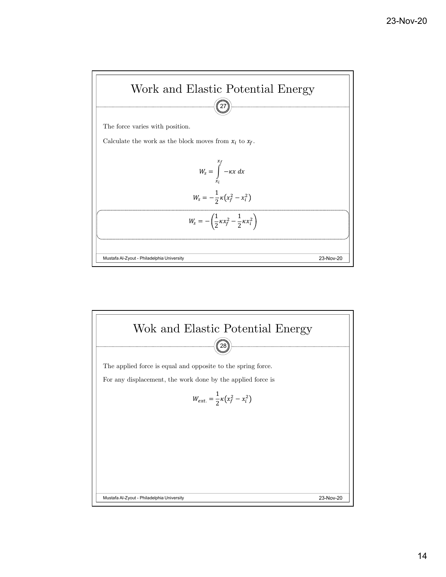

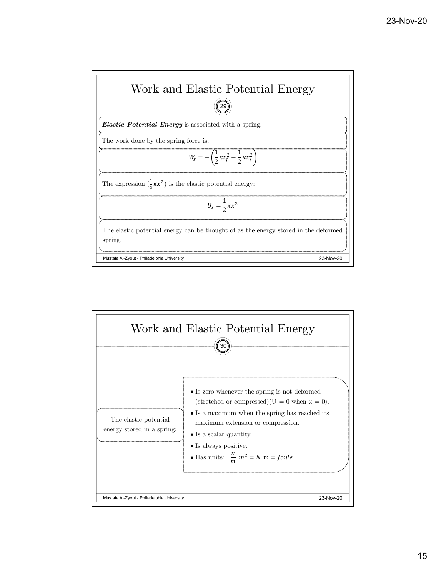

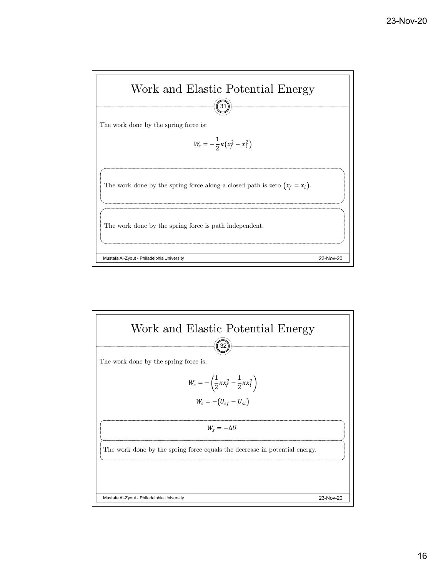

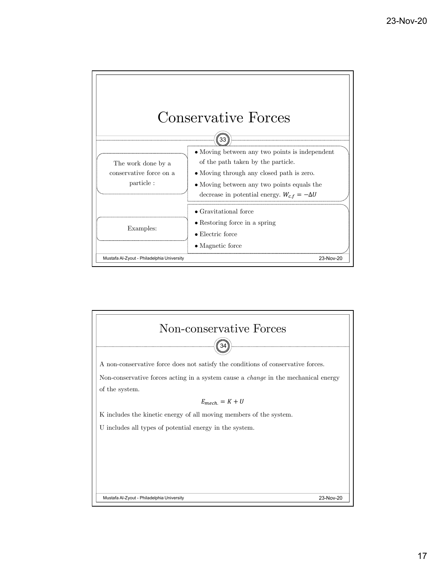

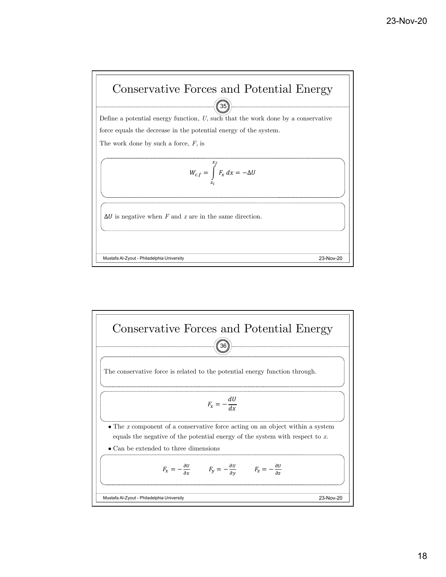

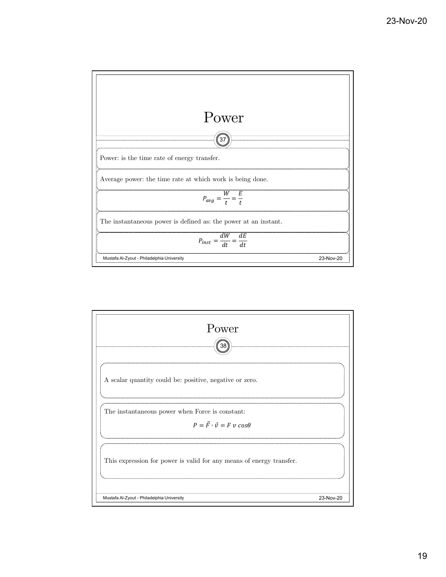